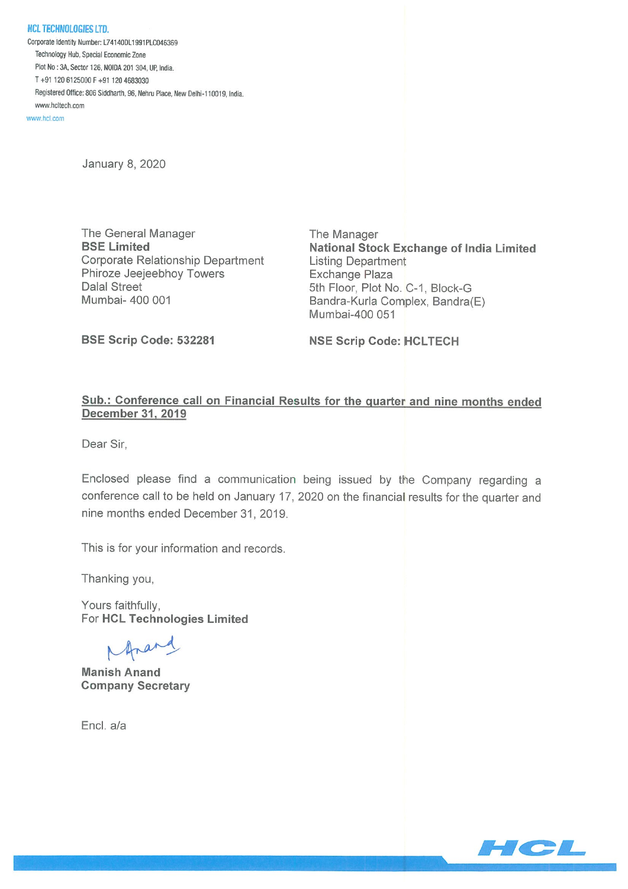NCL TECHNOLOGIES LTD Corporate Identity Number: L74140DL1991PLC046369 Technology Hub, Special Economic Zone Plot No: 3k Sector 126, NOIDA <sup>201</sup> 304, UP, India. T+91 1206125000F+91 1204683030 Registered Office: 806 Siddharth, 96, Nehru Place, New Delhi-110019, India. www.hcltech.com

www.hcl.com

January 8, 2020

The General Manager The Manager Corporate Relationship Department Listing Department Phiroze Jeejeebhoy Towers **Exchange Plaza** Dalal Street 5th Floor, Plot No. C-1, Block-G

BSE Limited **National Stock Exchange of India Limited** Mumbai- 400 001 **Bandra-Kurla Complex, Bandra**(E) Mumbai-400 051

BSE Scrip Code: 532281 NSE Scrip Code: HCLTECH

## Sub.: Conference call on Financial Results for the quarter and nine months ended December 31. 2019

Dear Sir,

Enclosed please find a communication being issued by the Company regarding a conference call to be held on January 17, 2020 on the financial results for the quarter and nine months ended December31, 2019.

This is for your information and records.

Thanking you,

Yours faithfully, For HCL Technologies Limited

Marand

Manish Anand Company Secretary

Encl. a/a